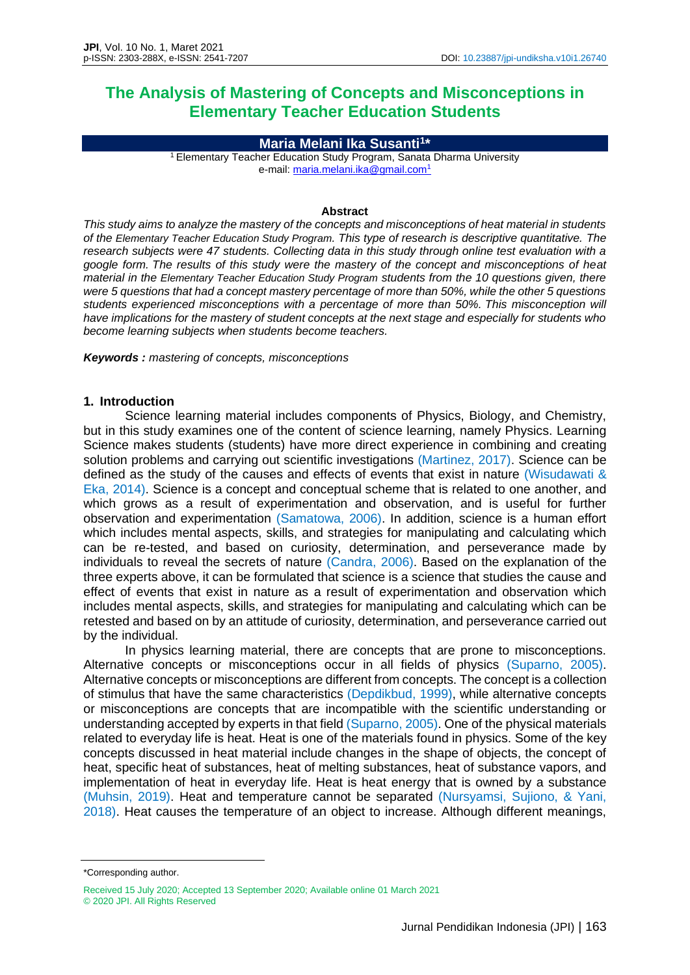# **The Analysis of Mastering of Concepts and Misconceptions in Elementary Teacher Education Students**

**Maria Melani Ika Susanti<sup>1</sup> \***

<sup>1</sup> Elementary Teacher Education Study Program, Sanata Dharma University e-mail: [maria.melani.ika@gmail.com](mailto:maria.melani.ika@gmail.com)<sup>1</sup>

#### **Abstract**

*This study aims to analyze the mastery of the concepts and misconceptions of heat material in students of the Elementary Teacher Education Study Program. This type of research is descriptive quantitative. The research subjects were 47 students. Collecting data in this study through online test evaluation with a google form. The results of this study were the mastery of the concept and misconceptions of heat material in the Elementary Teacher Education Study Program students from the 10 questions given, there were 5 questions that had a concept mastery percentage of more than 50%, while the other 5 questions students experienced misconceptions with a percentage of more than 50%. This misconception will have implications for the mastery of student concepts at the next stage and especially for students who become learning subjects when students become teachers.*

*Keywords : mastering of concepts, misconceptions*

# **1. Introduction**

Science learning material includes components of Physics, Biology, and Chemistry, but in this study examines one of the content of science learning, namely Physics. Learning Science makes students (students) have more direct experience in combining and creating solution problems and carrying out scientific investigations (Martinez, 2017). Science can be defined as the study of the causes and effects of events that exist in nature (Wisudawati & Eka, 2014). Science is a concept and conceptual scheme that is related to one another, and which grows as a result of experimentation and observation, and is useful for further observation and experimentation (Samatowa, 2006). In addition, science is a human effort which includes mental aspects, skills, and strategies for manipulating and calculating which can be re-tested, and based on curiosity, determination, and perseverance made by individuals to reveal the secrets of nature (Candra, 2006). Based on the explanation of the three experts above, it can be formulated that science is a science that studies the cause and effect of events that exist in nature as a result of experimentation and observation which includes mental aspects, skills, and strategies for manipulating and calculating which can be retested and based on by an attitude of curiosity, determination, and perseverance carried out by the individual.

In physics learning material, there are concepts that are prone to misconceptions. Alternative concepts or misconceptions occur in all fields of physics (Suparno, 2005). Alternative concepts or misconceptions are different from concepts. The concept is a collection of stimulus that have the same characteristics (Depdikbud, 1999), while alternative concepts or misconceptions are concepts that are incompatible with the scientific understanding or understanding accepted by experts in that field (Suparno, 2005). One of the physical materials related to everyday life is heat. Heat is one of the materials found in physics. Some of the key concepts discussed in heat material include changes in the shape of objects, the concept of heat, specific heat of substances, heat of melting substances, heat of substance vapors, and implementation of heat in everyday life. Heat is heat energy that is owned by a substance (Muhsin, 2019). Heat and temperature cannot be separated (Nursyamsi, Sujiono, & Yani, 2018). Heat causes the temperature of an object to increase. Although different meanings,

<sup>\*</sup>Corresponding author.

Received 15 July 2020; Accepted 13 September 2020; Available online 01 March 2021 © 2020 JPI. All Rights Reserved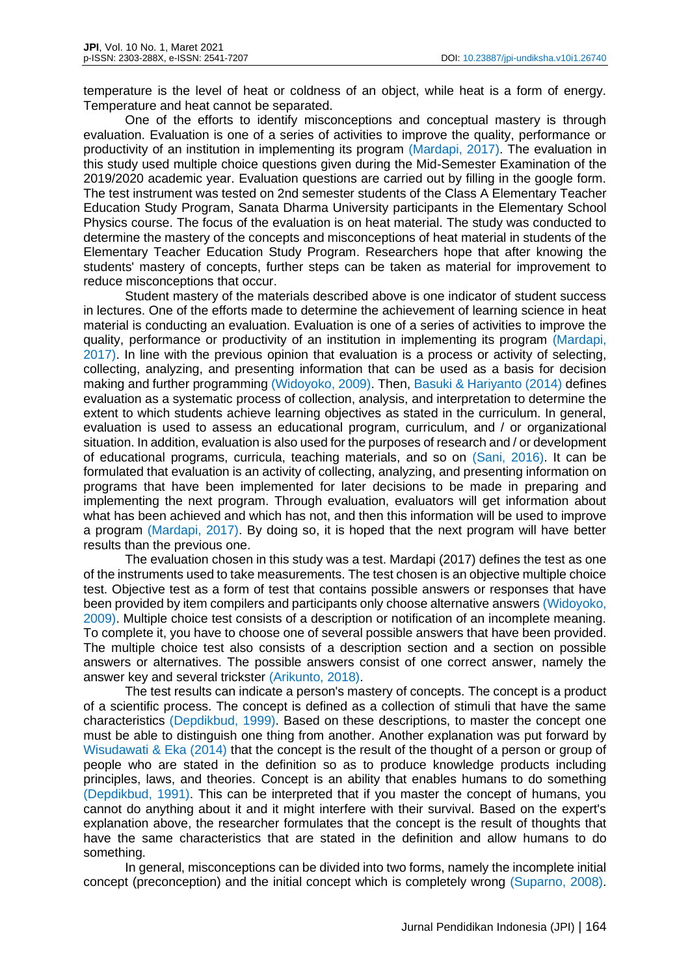temperature is the level of heat or coldness of an object, while heat is a form of energy. Temperature and heat cannot be separated.

One of the efforts to identify misconceptions and conceptual mastery is through evaluation. Evaluation is one of a series of activities to improve the quality, performance or productivity of an institution in implementing its program (Mardapi, 2017). The evaluation in this study used multiple choice questions given during the Mid-Semester Examination of the 2019/2020 academic year. Evaluation questions are carried out by filling in the google form. The test instrument was tested on 2nd semester students of the Class A Elementary Teacher Education Study Program, Sanata Dharma University participants in the Elementary School Physics course. The focus of the evaluation is on heat material. The study was conducted to determine the mastery of the concepts and misconceptions of heat material in students of the Elementary Teacher Education Study Program. Researchers hope that after knowing the students' mastery of concepts, further steps can be taken as material for improvement to reduce misconceptions that occur.

Student mastery of the materials described above is one indicator of student success in lectures. One of the efforts made to determine the achievement of learning science in heat material is conducting an evaluation. Evaluation is one of a series of activities to improve the quality, performance or productivity of an institution in implementing its program (Mardapi, 2017). In line with the previous opinion that evaluation is a process or activity of selecting, collecting, analyzing, and presenting information that can be used as a basis for decision making and further programming (Widoyoko, 2009). Then, Basuki & Hariyanto (2014) defines evaluation as a systematic process of collection, analysis, and interpretation to determine the extent to which students achieve learning objectives as stated in the curriculum. In general, evaluation is used to assess an educational program, curriculum, and / or organizational situation. In addition, evaluation is also used for the purposes of research and / or development of educational programs, curricula, teaching materials, and so on (Sani, 2016). It can be formulated that evaluation is an activity of collecting, analyzing, and presenting information on programs that have been implemented for later decisions to be made in preparing and implementing the next program. Through evaluation, evaluators will get information about what has been achieved and which has not, and then this information will be used to improve a program (Mardapi, 2017). By doing so, it is hoped that the next program will have better results than the previous one.

The evaluation chosen in this study was a test. Mardapi (2017) defines the test as one of the instruments used to take measurements. The test chosen is an objective multiple choice test. Objective test as a form of test that contains possible answers or responses that have been provided by item compilers and participants only choose alternative answers (Widoyoko, 2009). Multiple choice test consists of a description or notification of an incomplete meaning. To complete it, you have to choose one of several possible answers that have been provided. The multiple choice test also consists of a description section and a section on possible answers or alternatives. The possible answers consist of one correct answer, namely the answer key and several trickster (Arikunto, 2018).

The test results can indicate a person's mastery of concepts. The concept is a product of a scientific process. The concept is defined as a collection of stimuli that have the same characteristics (Depdikbud, 1999). Based on these descriptions, to master the concept one must be able to distinguish one thing from another. Another explanation was put forward by Wisudawati & Eka (2014) that the concept is the result of the thought of a person or group of people who are stated in the definition so as to produce knowledge products including principles, laws, and theories. Concept is an ability that enables humans to do something (Depdikbud, 1991). This can be interpreted that if you master the concept of humans, you cannot do anything about it and it might interfere with their survival. Based on the expert's explanation above, the researcher formulates that the concept is the result of thoughts that have the same characteristics that are stated in the definition and allow humans to do something.

In general, misconceptions can be divided into two forms, namely the incomplete initial concept (preconception) and the initial concept which is completely wrong (Suparno, 2008).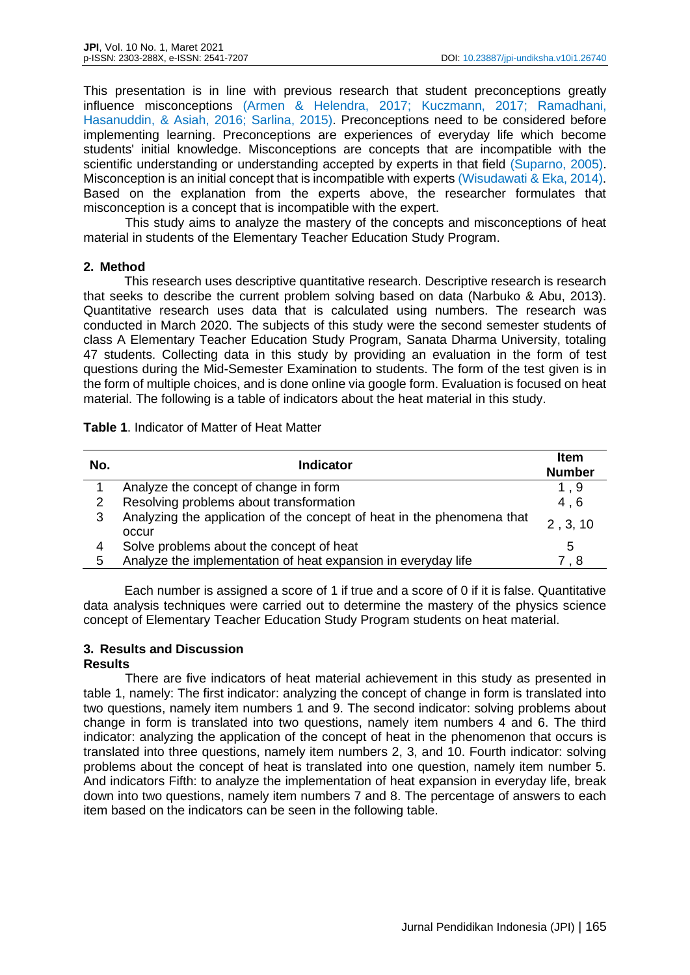This presentation is in line with previous research that student preconceptions greatly influence misconceptions (Armen & Helendra, 2017; Kuczmann, 2017; Ramadhani, Hasanuddin, & Asiah, 2016; Sarlina, 2015). Preconceptions need to be considered before implementing learning. Preconceptions are experiences of everyday life which become students' initial knowledge. Misconceptions are concepts that are incompatible with the scientific understanding or understanding accepted by experts in that field (Suparno, 2005). Misconception is an initial concept that is incompatible with experts (Wisudawati & Eka, 2014). Based on the explanation from the experts above, the researcher formulates that misconception is a concept that is incompatible with the expert.

This study aims to analyze the mastery of the concepts and misconceptions of heat material in students of the Elementary Teacher Education Study Program.

# **2. Method**

This research uses descriptive quantitative research. Descriptive research is research that seeks to describe the current problem solving based on data (Narbuko & Abu, 2013). Quantitative research uses data that is calculated using numbers. The research was conducted in March 2020. The subjects of this study were the second semester students of class A Elementary Teacher Education Study Program, Sanata Dharma University, totaling 47 students. Collecting data in this study by providing an evaluation in the form of test questions during the Mid-Semester Examination to students. The form of the test given is in the form of multiple choices, and is done online via google form. Evaluation is focused on heat material. The following is a table of indicators about the heat material in this study.

| <b>Table 1.</b> Indicator of Matter of Heat Matter |  |
|----------------------------------------------------|--|
|----------------------------------------------------|--|

| No. | <b>Indicator</b>                                                                | <b>Item</b><br><b>Number</b> |
|-----|---------------------------------------------------------------------------------|------------------------------|
|     | Analyze the concept of change in form                                           | 1.9                          |
| 2   | Resolving problems about transformation                                         | 4,6                          |
| 3   | Analyzing the application of the concept of heat in the phenomena that<br>occur | 2, 3, 10                     |
| 4   | Solve problems about the concept of heat                                        | 5                            |
| 5   | Analyze the implementation of heat expansion in everyday life                   | 7.8                          |

Each number is assigned a score of 1 if true and a score of 0 if it is false. Quantitative data analysis techniques were carried out to determine the mastery of the physics science concept of Elementary Teacher Education Study Program students on heat material.

#### **3. Results and Discussion Results**

There are five indicators of heat material achievement in this study as presented in table 1, namely: The first indicator: analyzing the concept of change in form is translated into two questions, namely item numbers 1 and 9. The second indicator: solving problems about change in form is translated into two questions, namely item numbers 4 and 6. The third indicator: analyzing the application of the concept of heat in the phenomenon that occurs is translated into three questions, namely item numbers 2, 3, and 10. Fourth indicator: solving problems about the concept of heat is translated into one question, namely item number 5. And indicators Fifth: to analyze the implementation of heat expansion in everyday life, break down into two questions, namely item numbers 7 and 8. The percentage of answers to each item based on the indicators can be seen in the following table.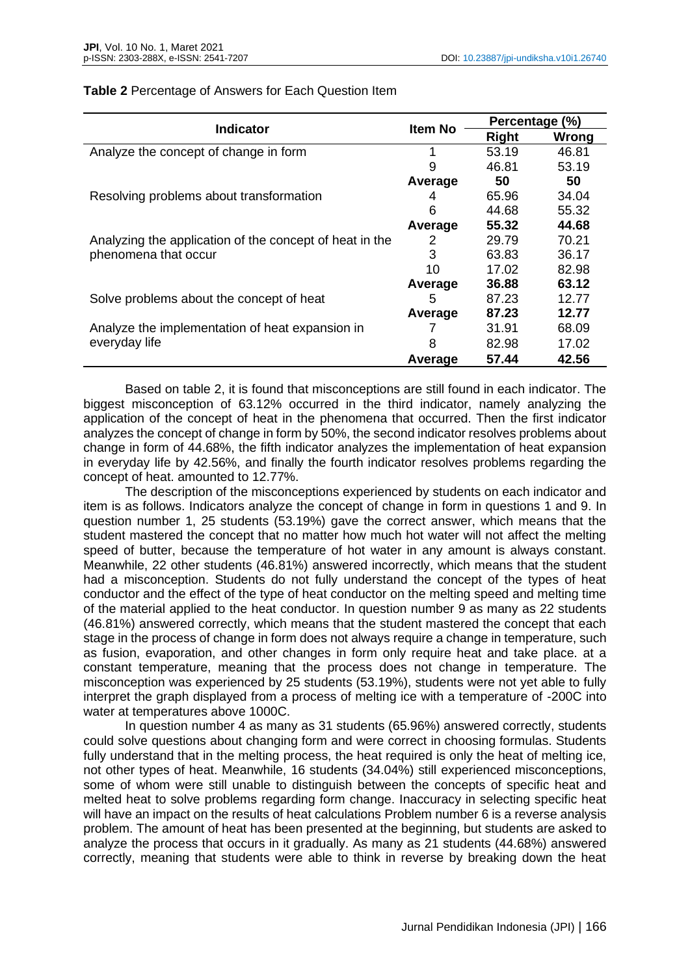| <b>Indicator</b>                                        | <b>Item No</b> | Percentage (%) |       |
|---------------------------------------------------------|----------------|----------------|-------|
|                                                         |                | <b>Right</b>   | Wrong |
| Analyze the concept of change in form                   | 1              | 53.19          | 46.81 |
|                                                         | 9              | 46.81          | 53.19 |
|                                                         | Average        | 50             | 50    |
| Resolving problems about transformation                 | 4              | 65.96          | 34.04 |
|                                                         | 6              | 44.68          | 55.32 |
|                                                         | Average        | 55.32          | 44.68 |
| Analyzing the application of the concept of heat in the | 2              | 29.79          | 70.21 |
| phenomena that occur                                    | 3              | 63.83          | 36.17 |
|                                                         | 10             | 17.02          | 82.98 |
|                                                         | Average        | 36.88          | 63.12 |
| Solve problems about the concept of heat                | 5              | 87.23          | 12.77 |
|                                                         | Average        | 87.23          | 12.77 |
| Analyze the implementation of heat expansion in         |                | 31.91          | 68.09 |
| everyday life                                           | 8              | 82.98          | 17.02 |
|                                                         | Average        | 57.44          | 42.56 |

### **Table 2** Percentage of Answers for Each Question Item

Based on table 2, it is found that misconceptions are still found in each indicator. The biggest misconception of 63.12% occurred in the third indicator, namely analyzing the application of the concept of heat in the phenomena that occurred. Then the first indicator analyzes the concept of change in form by 50%, the second indicator resolves problems about change in form of 44.68%, the fifth indicator analyzes the implementation of heat expansion in everyday life by 42.56%, and finally the fourth indicator resolves problems regarding the concept of heat. amounted to 12.77%.

The description of the misconceptions experienced by students on each indicator and item is as follows. Indicators analyze the concept of change in form in questions 1 and 9. In question number 1, 25 students (53.19%) gave the correct answer, which means that the student mastered the concept that no matter how much hot water will not affect the melting speed of butter, because the temperature of hot water in any amount is always constant. Meanwhile, 22 other students (46.81%) answered incorrectly, which means that the student had a misconception. Students do not fully understand the concept of the types of heat conductor and the effect of the type of heat conductor on the melting speed and melting time of the material applied to the heat conductor. In question number 9 as many as 22 students (46.81%) answered correctly, which means that the student mastered the concept that each stage in the process of change in form does not always require a change in temperature, such as fusion, evaporation, and other changes in form only require heat and take place. at a constant temperature, meaning that the process does not change in temperature. The misconception was experienced by 25 students (53.19%), students were not yet able to fully interpret the graph displayed from a process of melting ice with a temperature of -200C into water at temperatures above 1000C.

In question number 4 as many as 31 students (65.96%) answered correctly, students could solve questions about changing form and were correct in choosing formulas. Students fully understand that in the melting process, the heat required is only the heat of melting ice, not other types of heat. Meanwhile, 16 students (34.04%) still experienced misconceptions, some of whom were still unable to distinguish between the concepts of specific heat and melted heat to solve problems regarding form change. Inaccuracy in selecting specific heat will have an impact on the results of heat calculations Problem number 6 is a reverse analysis problem. The amount of heat has been presented at the beginning, but students are asked to analyze the process that occurs in it gradually. As many as 21 students (44.68%) answered correctly, meaning that students were able to think in reverse by breaking down the heat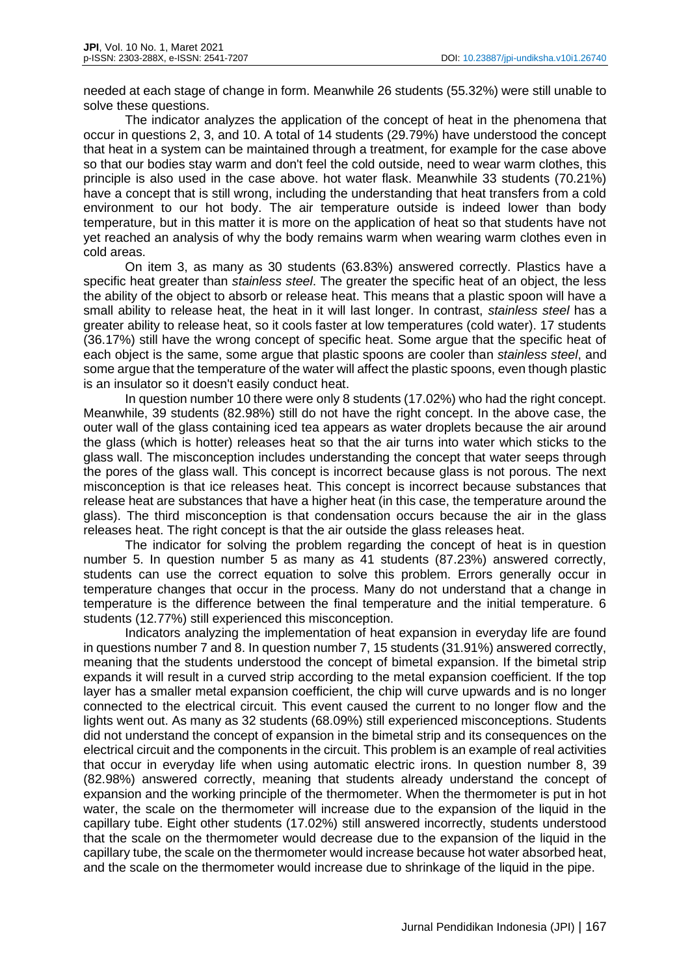needed at each stage of change in form. Meanwhile 26 students (55.32%) were still unable to solve these questions.

The indicator analyzes the application of the concept of heat in the phenomena that occur in questions 2, 3, and 10. A total of 14 students (29.79%) have understood the concept that heat in a system can be maintained through a treatment, for example for the case above so that our bodies stay warm and don't feel the cold outside, need to wear warm clothes, this principle is also used in the case above. hot water flask. Meanwhile 33 students (70.21%) have a concept that is still wrong, including the understanding that heat transfers from a cold environment to our hot body. The air temperature outside is indeed lower than body temperature, but in this matter it is more on the application of heat so that students have not yet reached an analysis of why the body remains warm when wearing warm clothes even in cold areas.

On item 3, as many as 30 students (63.83%) answered correctly. Plastics have a specific heat greater than *stainless steel*. The greater the specific heat of an object, the less the ability of the object to absorb or release heat. This means that a plastic spoon will have a small ability to release heat, the heat in it will last longer. In contrast, *stainless steel* has a greater ability to release heat, so it cools faster at low temperatures (cold water). 17 students (36.17%) still have the wrong concept of specific heat. Some argue that the specific heat of each object is the same, some argue that plastic spoons are cooler than *stainless steel*, and some argue that the temperature of the water will affect the plastic spoons, even though plastic is an insulator so it doesn't easily conduct heat.

In question number 10 there were only 8 students (17.02%) who had the right concept. Meanwhile, 39 students (82.98%) still do not have the right concept. In the above case, the outer wall of the glass containing iced tea appears as water droplets because the air around the glass (which is hotter) releases heat so that the air turns into water which sticks to the glass wall. The misconception includes understanding the concept that water seeps through the pores of the glass wall. This concept is incorrect because glass is not porous. The next misconception is that ice releases heat. This concept is incorrect because substances that release heat are substances that have a higher heat (in this case, the temperature around the glass). The third misconception is that condensation occurs because the air in the glass releases heat. The right concept is that the air outside the glass releases heat.

The indicator for solving the problem regarding the concept of heat is in question number 5. In question number 5 as many as 41 students (87.23%) answered correctly, students can use the correct equation to solve this problem. Errors generally occur in temperature changes that occur in the process. Many do not understand that a change in temperature is the difference between the final temperature and the initial temperature. 6 students (12.77%) still experienced this misconception.

Indicators analyzing the implementation of heat expansion in everyday life are found in questions number 7 and 8. In question number 7, 15 students (31.91%) answered correctly, meaning that the students understood the concept of bimetal expansion. If the bimetal strip expands it will result in a curved strip according to the metal expansion coefficient. If the top layer has a smaller metal expansion coefficient, the chip will curve upwards and is no longer connected to the electrical circuit. This event caused the current to no longer flow and the lights went out. As many as 32 students (68.09%) still experienced misconceptions. Students did not understand the concept of expansion in the bimetal strip and its consequences on the electrical circuit and the components in the circuit. This problem is an example of real activities that occur in everyday life when using automatic electric irons. In question number 8, 39 (82.98%) answered correctly, meaning that students already understand the concept of expansion and the working principle of the thermometer. When the thermometer is put in hot water, the scale on the thermometer will increase due to the expansion of the liquid in the capillary tube. Eight other students (17.02%) still answered incorrectly, students understood that the scale on the thermometer would decrease due to the expansion of the liquid in the capillary tube, the scale on the thermometer would increase because hot water absorbed heat, and the scale on the thermometer would increase due to shrinkage of the liquid in the pipe.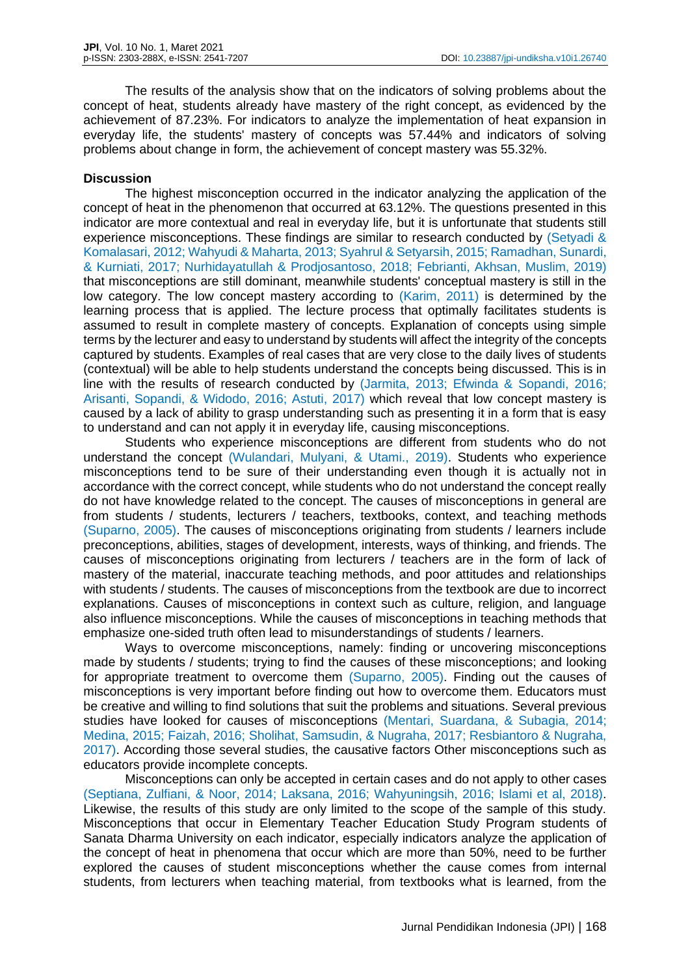The results of the analysis show that on the indicators of solving problems about the concept of heat, students already have mastery of the right concept, as evidenced by the achievement of 87.23%. For indicators to analyze the implementation of heat expansion in everyday life, the students' mastery of concepts was 57.44% and indicators of solving problems about change in form, the achievement of concept mastery was 55.32%.

## **Discussion**

The highest misconception occurred in the indicator analyzing the application of the concept of heat in the phenomenon that occurred at 63.12%. The questions presented in this indicator are more contextual and real in everyday life, but it is unfortunate that students still experience misconceptions. These findings are similar to research conducted by (Setyadi & Komalasari, 2012; Wahyudi & Maharta, 2013; Syahrul & Setyarsih, 2015; Ramadhan, Sunardi, & Kurniati, 2017; Nurhidayatullah & Prodjosantoso, 2018; Febrianti, Akhsan, Muslim, 2019) that misconceptions are still dominant, meanwhile students' conceptual mastery is still in the low category. The low concept mastery according to (Karim, 2011) is determined by the learning process that is applied. The lecture process that optimally facilitates students is assumed to result in complete mastery of concepts. Explanation of concepts using simple terms by the lecturer and easy to understand by students will affect the integrity of the concepts captured by students. Examples of real cases that are very close to the daily lives of students (contextual) will be able to help students understand the concepts being discussed. This is in line with the results of research conducted by (Jarmita, 2013; Efwinda & Sopandi, 2016; Arisanti, Sopandi, & Widodo, 2016; Astuti, 2017) which reveal that low concept mastery is caused by a lack of ability to grasp understanding such as presenting it in a form that is easy to understand and can not apply it in everyday life, causing misconceptions.

Students who experience misconceptions are different from students who do not understand the concept (Wulandari, Mulyani, & Utami., 2019). Students who experience misconceptions tend to be sure of their understanding even though it is actually not in accordance with the correct concept, while students who do not understand the concept really do not have knowledge related to the concept. The causes of misconceptions in general are from students / students, lecturers / teachers, textbooks, context, and teaching methods (Suparno, 2005). The causes of misconceptions originating from students / learners include preconceptions, abilities, stages of development, interests, ways of thinking, and friends. The causes of misconceptions originating from lecturers / teachers are in the form of lack of mastery of the material, inaccurate teaching methods, and poor attitudes and relationships with students / students. The causes of misconceptions from the textbook are due to incorrect explanations. Causes of misconceptions in context such as culture, religion, and language also influence misconceptions. While the causes of misconceptions in teaching methods that emphasize one-sided truth often lead to misunderstandings of students / learners.

Ways to overcome misconceptions, namely: finding or uncovering misconceptions made by students / students; trying to find the causes of these misconceptions; and looking for appropriate treatment to overcome them (Suparno, 2005). Finding out the causes of misconceptions is very important before finding out how to overcome them. Educators must be creative and willing to find solutions that suit the problems and situations. Several previous studies have looked for causes of misconceptions (Mentari, Suardana, & Subagia, 2014; Medina, 2015; Faizah, 2016; Sholihat, Samsudin, & Nugraha, 2017; Resbiantoro & Nugraha, 2017). According those several studies, the causative factors Other misconceptions such as educators provide incomplete concepts.

Misconceptions can only be accepted in certain cases and do not apply to other cases (Septiana, Zulfiani, & Noor, 2014; Laksana, 2016; Wahyuningsih, 2016; Islami et al, 2018). Likewise, the results of this study are only limited to the scope of the sample of this study. Misconceptions that occur in Elementary Teacher Education Study Program students of Sanata Dharma University on each indicator, especially indicators analyze the application of the concept of heat in phenomena that occur which are more than 50%, need to be further explored the causes of student misconceptions whether the cause comes from internal students, from lecturers when teaching material, from textbooks what is learned, from the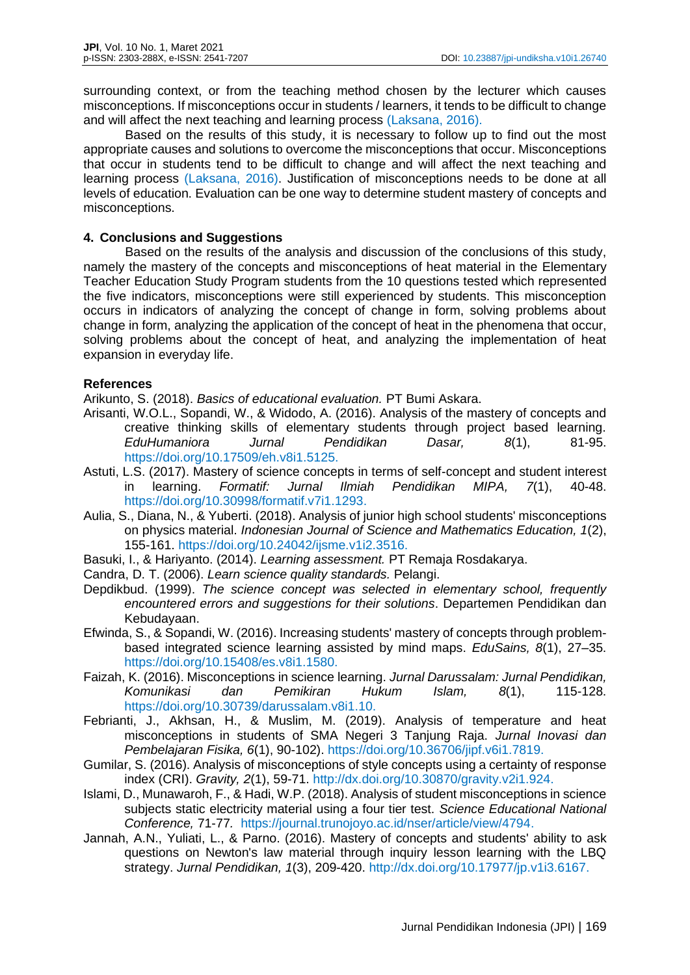surrounding context, or from the teaching method chosen by the lecturer which causes misconceptions. If misconceptions occur in students / learners, it tends to be difficult to change and will affect the next teaching and learning process (Laksana, 2016).

Based on the results of this study, it is necessary to follow up to find out the most appropriate causes and solutions to overcome the misconceptions that occur. Misconceptions that occur in students tend to be difficult to change and will affect the next teaching and learning process (Laksana, 2016). Justification of misconceptions needs to be done at all levels of education. Evaluation can be one way to determine student mastery of concepts and misconceptions.

# **4. Conclusions and Suggestions**

Based on the results of the analysis and discussion of the conclusions of this study, namely the mastery of the concepts and misconceptions of heat material in the Elementary Teacher Education Study Program students from the 10 questions tested which represented the five indicators, misconceptions were still experienced by students. This misconception occurs in indicators of analyzing the concept of change in form, solving problems about change in form, analyzing the application of the concept of heat in the phenomena that occur, solving problems about the concept of heat, and analyzing the implementation of heat expansion in everyday life.

# **References**

Arikunto, S. (2018). *Basics of educational evaluation.* PT Bumi Askara.

- Arisanti, W.O.L., Sopandi, W., & Widodo, A. (2016). Analysis of the mastery of concepts and creative thinking skills of elementary students through project based learning. *EduHumaniora Jurnal Pendidikan Dasar, 8*(1), 81-95. [https://doi.org/10.17509/eh.v8i1.5125.](https://doi.org/10.17509/eh.v8i1.5125)
- Astuti, L.S. (2017). Mastery of science concepts in terms of self-concept and student interest in learning. *Formatif: Jurnal Ilmiah Pendidikan MIPA, 7*(1), 40-48. [https://doi.org/10.30998/formatif.v7i1.1293.](https://doi.org/10.30998/formatif.v7i1.1293)
- Aulia, S., Diana, N., & Yuberti. (2018). Analysis of junior high school students' misconceptions on physics material. *Indonesian Journal of Science and Mathematics Education, 1*(2), 155-161. [https://doi.org/10.24042/ijsme.v1i2.3516.](https://doi.org/10.24042/ijsme.v1i2.3516)
- Basuki, I., & Hariyanto. (2014). *Learning assessment.* PT Remaja Rosdakarya.
- Candra, D. T. (2006). *Learn science quality standards.* Pelangi.
- Depdikbud. (1999). *The science concept was selected in elementary school, frequently encountered errors and suggestions for their solutions*. Departemen Pendidikan dan Kebudayaan.
- Efwinda, S., & Sopandi, W. (2016). Increasing students' mastery of concepts through problembased integrated science learning assisted by mind maps. *EduSains, 8*(1), 27–35. [https://doi.org/10.15408/es.v8i1.1580.](https://doi.org/10.15408/es.v8i1.1580)
- Faizah, K. (2016). Misconceptions in science learning. *Jurnal Darussalam: Jurnal Pendidikan, Komunikasi dan Pemikiran Hukum Islam, 8*(1), 115-128. [https://doi.org/10.30739/darussalam.v8i1.10.](https://doi.org/10.30739/darussalam.v8i1.10)
- Febrianti, J., Akhsan, H., & Muslim, M. (2019). Analysis of temperature and heat misconceptions in students of SMA Negeri 3 Tanjung Raja. *Jurnal Inovasi dan Pembelajaran Fisika, 6*(1), 90-102). [https://doi.org/10.36706/jipf.v6i1.7819.](https://doi.org/10.36706/jipf.v6i1.7819)
- Gumilar, S. (2016). Analysis of misconceptions of style concepts using a certainty of response index (CRI). *Gravity, 2*(1), 59-71. [http://dx.doi.org/10.30870/gravity.v2i1.924.](http://dx.doi.org/10.30870/gravity.v2i1.924)
- Islami, D., Munawaroh, F., & Hadi, W.P. (2018). Analysis of student misconceptions in science subjects static electricity material using a four tier test. *Science Educational National Conference,* 71-77*.* [https://journal.trunojoyo.ac.id/nser/article/view/4794.](https://journal.trunojoyo.ac.id/nser/article/view/4794)
- Jannah, A.N., Yuliati, L., & Parno. (2016). Mastery of concepts and students' ability to ask questions on Newton's law material through inquiry lesson learning with the LBQ strategy. *Jurnal Pendidikan, 1*(3), 209-420. [http://dx.doi.org/10.17977/jp.v1i3.6167.](http://dx.doi.org/10.17977/jp.v1i3.6167)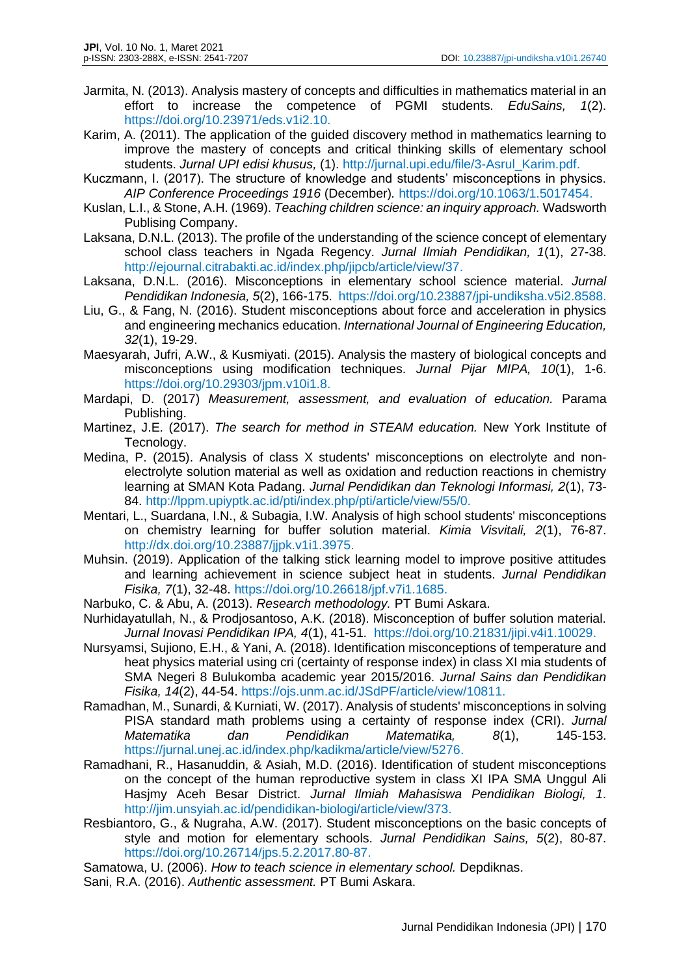- Jarmita, N. (2013). Analysis mastery of concepts and difficulties in mathematics material in an effort to increase the competence of PGMI students. *EduSains, 1*(2). [https://doi.org/10.23971/eds.v1i2.10.](https://doi.org/10.23971/eds.v1i2.10)
- Karim, A. (2011). The application of the guided discovery method in mathematics learning to improve the mastery of concepts and critical thinking skills of elementary school students. *Jurnal UPI edisi khusus,* (1). [http://jurnal.upi.edu/file/3-Asrul\\_Karim.pdf.](http://jurnal.upi.edu/file/3-Asrul_Karim.pdf)
- Kuczmann, I. (2017). The structure of knowledge and students' misconceptions in physics. *AIP Conference Proceedings 1916* (December)*.* [https://doi.org/10.1063/1.5017454.](https://doi.org/10.1063/1.5017454)
- Kuslan, L.I., & Stone, A.H. (1969). *Teaching children science: an inquiry approach.* Wadsworth Publising Company.
- Laksana, D.N.L. (2013). The profile of the understanding of the science concept of elementary school class teachers in Ngada Regency. *Jurnal Ilmiah Pendidikan, 1*(1), 27-38. [http://ejournal.citrabakti.ac.id/index.php/jipcb/article/view/37.](http://ejournal.citrabakti.ac.id/index.php/jipcb/article/view/37)
- Laksana, D.N.L. (2016). Misconceptions in elementary school science material. *Jurnal Pendidikan Indonesia, 5*(2), 166-175. [https://doi.org/10.23887/jpi-undiksha.v5i2.8588.](https://doi.org/10.23887/jpi-undiksha.v5i2.8588)
- Liu, G., & Fang, N. (2016). Student misconceptions about force and acceleration in physics and engineering mechanics education. *International Journal of Engineering Education, 32*(1), 19-29.
- Maesyarah, Jufri, A.W., & Kusmiyati. (2015). Analysis the mastery of biological concepts and misconceptions using modification techniques. *Jurnal Pijar MIPA, 10*(1), 1-6. [https://doi.org/10.29303/jpm.v10i1.8.](https://doi.org/10.29303/jpm.v10i1.8)
- Mardapi, D. (2017) *Measurement, assessment, and evaluation of education.* Parama Publishing.
- Martinez, J.E. (2017). *The search for method in STEAM education.* New York Institute of Tecnology.
- Medina, P. (2015). Analysis of class X students' misconceptions on electrolyte and nonelectrolyte solution material as well as oxidation and reduction reactions in chemistry learning at SMAN Kota Padang. *Jurnal Pendidikan dan Teknologi Informasi, 2*(1), 73- 84. [http://lppm.upiyptk.ac.id/pti/index.php/pti/article/view/55/0.](http://lppm.upiyptk.ac.id/pti/index.php/pti/article/view/55/0)
- Mentari, L., Suardana, I.N., & Subagia, I.W. Analysis of high school students' misconceptions on chemistry learning for buffer solution material. *Kimia Visvitali, 2*(1), 76-87. [http://dx.doi.org/10.23887/jjpk.v1i1.3975.](http://dx.doi.org/10.23887/jjpk.v1i1.3975)
- Muhsin. (2019). Application of the talking stick learning model to improve positive attitudes and learning achievement in science subject heat in students. *Jurnal Pendidikan Fisika, 7*(1), 32-48. [https://doi.org/10.26618/jpf.v7i1.1685.](https://doi.org/10.26618/jpf.v7i1.1685)
- Narbuko, C. & Abu, A. (2013). *Research methodology.* PT Bumi Askara.
- Nurhidayatullah, N., & Prodjosantoso, A.K. (2018). Misconception of buffer solution material. *Jurnal Inovasi Pendidikan IPA, 4*(1), 41-51. [https://doi.org/10.21831/jipi.v4i1.10029.](https://doi.org/10.21831/jipi.v4i1.10029)
- Nursyamsi, Sujiono, E.H., & Yani, A. (2018). Identification misconceptions of temperature and heat physics material using cri (certainty of response index) in class XI mia students of SMA Negeri 8 Bulukomba academic year 2015/2016. *Jurnal Sains dan Pendidikan Fisika, 14*(2), 44-54. [https://ojs.unm.ac.id/JSdPF/article/view/10811.](https://ojs.unm.ac.id/JSdPF/article/view/10811)
- Ramadhan, M., Sunardi, & Kurniati, W. (2017). Analysis of students' misconceptions in solving PISA standard math problems using a certainty of response index (CRI). *Jurnal Matematika dan Pendidikan Matematika, 8*(1), 145-153. [https://jurnal.unej.ac.id/index.php/kadikma/article/view/5276.](https://jurnal.unej.ac.id/index.php/kadikma/article/view/5276)
- Ramadhani, R., Hasanuddin, & Asiah, M.D. (2016). Identification of student misconceptions on the concept of the human reproductive system in class XI IPA SMA Unggul Ali Hasjmy Aceh Besar District. *Jurnal Ilmiah Mahasiswa Pendidikan Biologi, 1*. [http://jim.unsyiah.ac.id/pendidikan-biologi/article/view/373.](http://jim.unsyiah.ac.id/pendidikan-biologi/article/view/373)
- Resbiantoro, G., & Nugraha, A.W. (2017). Student misconceptions on the basic concepts of style and motion for elementary schools. *Jurnal Pendidikan Sains, 5*(2), 80-87. [https://doi.org/10.26714/jps.5.2.2017.80-87.](https://doi.org/10.26714/jps.5.2.2017.80-87)
- Samatowa, U. (2006). *How to teach science in elementary school.* Depdiknas.
- Sani, R.A. (2016). *Authentic assessment.* PT Bumi Askara.